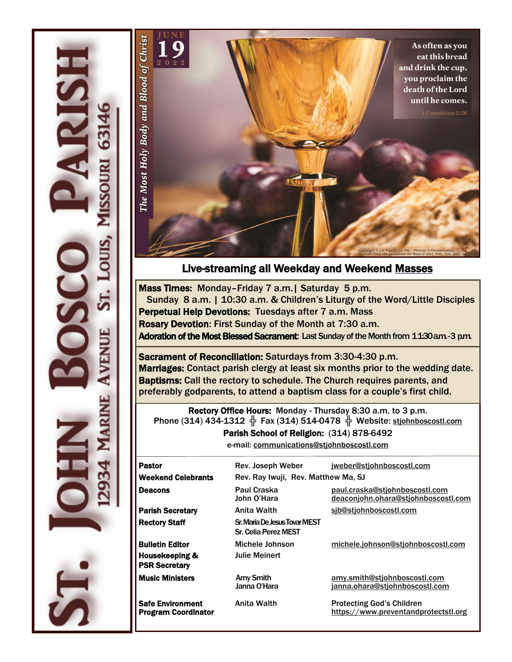



### Live-streaming all Weekday and Weekend [Masses](https://www.youtube.com/channel/UCeInmIj72DHhunWqpwKCYDw)

Mass Times: Monday–Friday 7 a.m.| Saturday 5 p.m. Sunday 8 a.m. | 10:30 a.m. & Children's Liturgy of the Word/Little Disciples Perpetual Help Devotions: Tuesdays after 7 a.m. Mass Rosary Devotion: First Sunday of the Month at 7:30 a.m. Adoration of the Most Blessed Sacrament: Last Sunday of the Month from 11:30 a.m. - 3 p.m.

Sacrament of Reconciliation: Saturdays from 3:30-4:30 p.m. Marriages: Contact parish clergy at least six months prior to the wedding date. Baptisms: Call the rectory to schedule. The Church requires parents, and preferably godparents, to attend a baptism class for a couple's first child.

Rectory Office Hours: Monday - Thursday 8:30 a.m. to 3 p.m. Phone (314) 434-1312  $\frac{1}{3}$  Fax (314) 514-0478  $\frac{1}{3}$  Website: [stjohnboscostl.com](https://www.stjohnboscostl.com/)

Parish School of Religion: (314) 878-6492

e-mail: [communications@stjohnboscostl.com](mailto:communications@stjohnboscostl.com) 

| <b>Pastor</b>                                                    | Rev. Joseph Weber                                                             | jweber@stjohnboscostl.com                                                |  |
|------------------------------------------------------------------|-------------------------------------------------------------------------------|--------------------------------------------------------------------------|--|
| <b>Weekend Celebrants</b>                                        | Rev. Ray Iwuji, Rev. Matthew Ma, SJ                                           |                                                                          |  |
| <b>Deacons</b>                                                   | Paul Craska<br>John O'Hara                                                    | paul.craska@stjohnboscostl.com<br>deaconjohn.ohara@stjohnboscostl.com    |  |
| <b>Parish Secretary</b>                                          | Anita Walth                                                                   | sib@stjohnboscostl.com                                                   |  |
| <b>Rectory Staff</b>                                             | Sr. Maria De Jesus Tovar MEST<br>Sr. Celia Perez MEST                         |                                                                          |  |
| <b>Bulletin Editor</b><br>Housekeeping &<br><b>PSR Secretary</b> | Michele Johnson<br>michele.johnson@stjohnboscostl.com<br><b>Julie Meinert</b> |                                                                          |  |
| <b>Music Ministers</b>                                           | <b>Amy Smith</b><br>Janna O'Hara                                              | amy.smith@stjohnboscostl.com<br>janna.ohara@stjohnboscostl.com           |  |
| <b>Safe Environment</b><br><b>Program Coordinator</b>            | Anita Walth                                                                   | <b>Protecting God's Children</b><br>https://www.preventandprotectstl.org |  |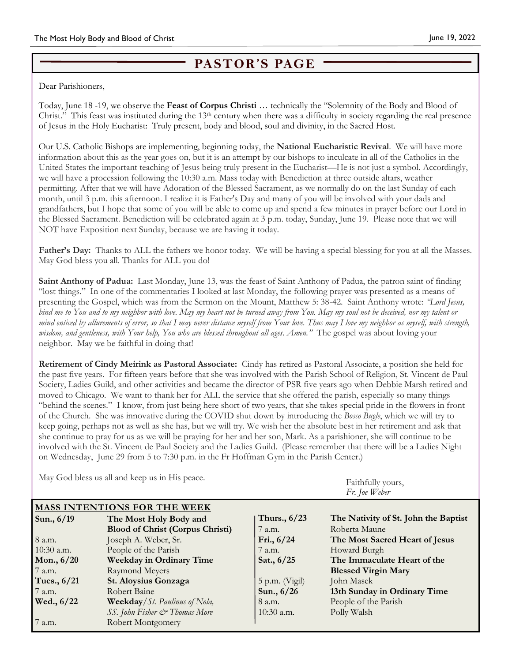## **PASTOR'S PAGE**

Dear Parishioners,

Today, June 18 -19, we observe the **Feast of Corpus Christi** … technically the "Solemnity of the Body and Blood of Christ." This feast was instituted during the  $13<sup>th</sup>$  century when there was a difficulty in society regarding the real presence of Jesus in the Holy Eucharist: Truly present, body and blood, soul and divinity, in the Sacred Host.

Our U.S. Catholic Bishops are implementing, beginning today, the **National Eucharistic Revival**. We will have more information about this as the year goes on, but it is an attempt by our bishops to inculcate in all of the Catholics in the United States the important teaching of Jesus being truly present in the Eucharist—He is not just a symbol. Accordingly, we will have a procession following the 10:30 a.m. Mass today with Benediction at three outside altars, weather permitting. After that we will have Adoration of the Blessed Sacrament, as we normally do on the last Sunday of each month, until 3 p.m. this afternoon. I realize it is Father's Day and many of you will be involved with your dads and grandfathers, but I hope that some of you will be able to come up and spend a few minutes in prayer before our Lord in the Blessed Sacrament. Benediction will be celebrated again at 3 p.m. today, Sunday, June 19. Please note that we will NOT have Exposition next Sunday, because we are having it today.

**Father's Day:** Thanks to ALL the fathers we honor today. We will be having a special blessing for you at all the Masses. May God bless you all. Thanks for ALL you do!

**Saint Anthony of Padua:** Last Monday, June 13, was the feast of Saint Anthony of Padua, the patron saint of finding "lost things." In one of the commentaries I looked at last Monday, the following prayer was presented as a means of presenting the Gospel, which was from the Sermon on the Mount, Matthew 5: 38-42. Saint Anthony wrote: *"Lord Jesus, bind me to You and to my neighbor with love. May my heart not be turned away from You. May my soul not be deceived, nor my talent or mind enticed by allurements of error, so that I may never distance myself from Your love. Thus may I love my neighbor as myself, with strength, wisdom, and gentleness, with Your help, You who are blessed throughout all ages. Amen."* The gospel was about loving your neighbor. May we be faithful in doing that!

**Retirement of Cindy Meirink as Pastoral Associate:** Cindy has retired as Pastoral Associate, a position she held for the past five years. For fifteen years before that she was involved with the Parish School of Religion, St. Vincent de Paul Society, Ladies Guild, and other activities and became the director of PSR five years ago when Debbie Marsh retired and moved to Chicago. We want to thank her for ALL the service that she offered the parish, especially so many things "behind the scenes." I know, from just being here short of two years, that she takes special pride in the flowers in front of the Church. She was innovative during the COVID shut down by introducing the *Bosco Bugle*, which we will try to keep going, perhaps not as well as she has, but we will try. We wish her the absolute best in her retirement and ask that she continue to pray for us as we will be praying for her and her son, Mark. As a parishioner, she will continue to be involved with the St. Vincent de Paul Society and the Ladies Guild. (Please remember that there will be a Ladies Night on Wednesday, June 29 from 5 to 7:30 p.m. in the Fr Hoffman Gym in the Parish Center.)

| <b>INTRY GOU DIESS US All AIR KEEP US III FIIS DEACE.</b> |                                         |                  | Faithfully yours,<br>Fr. Joe Weber   |  |
|-----------------------------------------------------------|-----------------------------------------|------------------|--------------------------------------|--|
| <b>MASS INTENTIONS FOR THE WEEK</b>                       |                                         |                  |                                      |  |
| Sun., 6/19                                                | The Most Holy Body and                  | Thurs., $6/23$   | The Nativity of St. John the Baptist |  |
|                                                           | <b>Blood of Christ (Corpus Christi)</b> | 7 a.m.           | Roberta Maune                        |  |
| 8 a.m.                                                    | Joseph A. Weber, Sr.                    | Fri., $6/24$     | The Most Sacred Heart of Jesus       |  |
| 10:30 a.m.                                                | People of the Parish                    | 7 a.m.           | Howard Burgh                         |  |
| Mon., $6/20$                                              | <b>Weekday in Ordinary Time</b>         | Sat., $6/25$     | The Immaculate Heart of the          |  |
| 7 a.m.                                                    | Raymond Meyers                          |                  | <b>Blessed Virgin Mary</b>           |  |
| Tues., $6/21$                                             | St. Aloysius Gonzaga                    | $5$ p.m. (Vigil) | John Masek                           |  |
| 7 a.m.                                                    | Robert Baine                            | Sun., 6/26       | 13th Sunday in Ordinary Time         |  |
| Wed., 6/22                                                | <b>Weekday/St. Paulinus of Nola,</b>    | 8 a.m.           | People of the Parish                 |  |
|                                                           | SS. John Fisher & Thomas More           | $10:30$ a.m.     | Polly Walsh                          |  |
| 7 a.m.                                                    | Robert Montgomery                       |                  |                                      |  |

May God bless us all and keep us in His peace